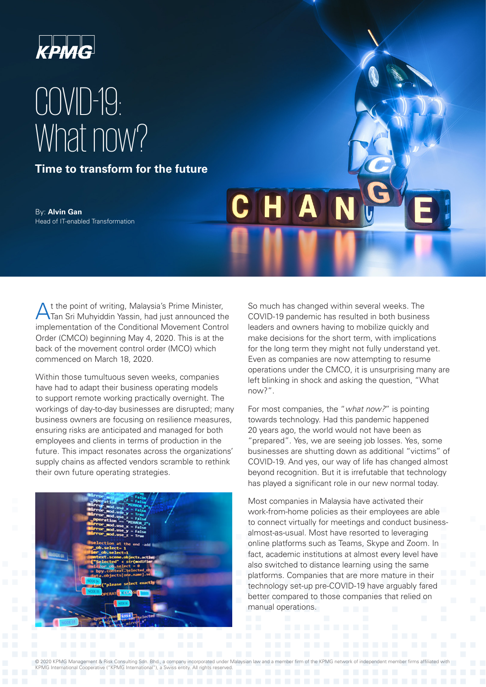

# COVID-19: What now?

**Time to transform for the future**

By: **Alvin Gan** Head of IT-enabled Transformation

At the point of writing, Malaysia's Prime Minister, Tan Sri Muhyiddin Yassin, had just announced the implementation of the Conditional Movement Control Order (CMCO) beginning May 4, 2020. This is at the back of the movement control order (MCO) which commenced on March 18, 2020.

Within those tumultuous seven weeks, companies have had to adapt their business operating models to support remote working practically overnight. The workings of day-to-day businesses are disrupted; many business owners are focusing on resilience measures, ensuring risks are anticipated and managed for both employees and clients in terms of production in the future. This impact resonates across the organizations' supply chains as affected vendors scramble to rethink their own future operating strategies.



So much has changed within several weeks. The COVID-19 pandemic has resulted in both business leaders and owners having to mobilize quickly and make decisions for the short term, with implications for the long term they might not fully understand yet. Even as companies are now attempting to resume operations under the CMCO, it is unsurprising many are left blinking in shock and asking the question, "What now?".

 $\boldsymbol{\Lambda}$ 

For most companies, the "*what now?*" is pointing towards technology. Had this pandemic happened 20 years ago, the world would not have been as "prepared". Yes, we are seeing job losses. Yes, some businesses are shutting down as additional "victims" of COVID-19. And yes, our way of life has changed almost beyond recognition. But it is irrefutable that technology has played a significant role in our new normal today.

Most companies in Malaysia have activated their work-from-home policies as their employees are able to connect virtually for meetings and conduct businessalmost-as-usual. Most have resorted to leveraging online platforms such as Teams, Skype and Zoom. In fact, academic institutions at almost every level have also switched to distance learning using the same platforms. Companies that are more mature in their technology set-up pre-COVID-19 have arguably fared better compared to those companies that relied on manual operations.

© 2020 KPMG Management & Risk Consulting Sdn. Bhd., a company incorporated under Malaysian law and a member firm of the KPMG network of independent member firms affiliated with KPMG International Cooperative ("KPMG International"), a Swiss entity. All rights reserved.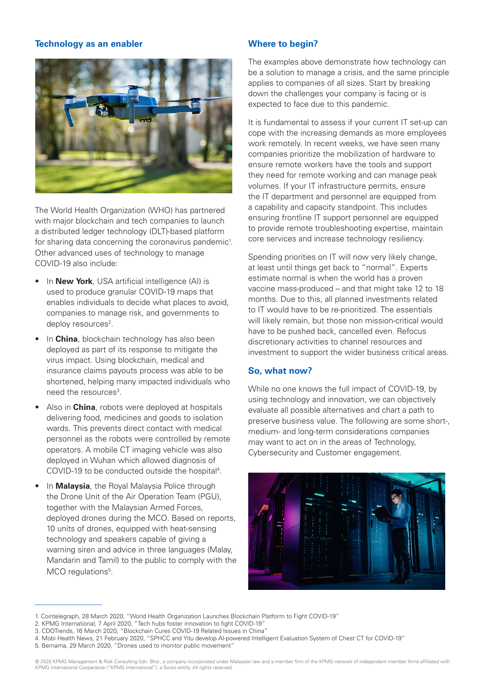### **Technology as an enabler**



The World Health Organization (WHO) has partnered with major blockchain and tech companies to launch a distributed ledger technology (DLT)-based platform for sharing data concerning the coronavirus pandemic<sup>1</sup>. Other advanced uses of technology to manage COVID-19 also include:

- In **New York**, USA artificial intelligence (AI) is used to produce granular COVID-19 maps that enables individuals to decide what places to avoid, companies to manage risk, and governments to deploy resources<sup>2</sup>.
- In **China**, blockchain technology has also been deployed as part of its response to mitigate the virus impact. Using blockchain, medical and insurance claims payouts process was able to be shortened, helping many impacted individuals who need the resources<sup>3</sup>.
- Also in **China**, robots were deployed at hospitals delivering food, medicines and goods to isolation wards. This prevents direct contact with medical personnel as the robots were controlled by remote operators. A mobile CT imaging vehicle was also deployed in Wuhan which allowed diagnosis of COVID-19 to be conducted outside the hospital<sup>4</sup>.
- In **Malaysia**, the Royal Malaysia Police through the Drone Unit of the Air Operation Team (PGU), together with the Malaysian Armed Forces, deployed drones during the MCO. Based on reports, 10 units of drones, equipped with heat-sensing technology and speakers capable of giving a warning siren and advice in three languages (Malay, Mandarin and Tamil) to the public to comply with the MCO regulations<sup>5</sup>.

### **Where to begin?**

The examples above demonstrate how technology can be a solution to manage a crisis, and the same principle applies to companies of all sizes. Start by breaking down the challenges your company is facing or is expected to face due to this pandemic.

It is fundamental to assess if your current IT set-up can cope with the increasing demands as more employees work remotely. In recent weeks, we have seen many companies prioritize the mobilization of hardware to ensure remote workers have the tools and support they need for remote working and can manage peak volumes. If your IT infrastructure permits, ensure the IT department and personnel are equipped from a capability and capacity standpoint. This includes ensuring frontline IT support personnel are equipped to provide remote troubleshooting expertise, maintain core services and increase technology resiliency.

Spending priorities on IT will now very likely change, at least until things get back to "normal". Experts estimate normal is when the world has a proven vaccine mass-produced – and that might take 12 to 18 months. Due to this, all planned investments related to IT would have to be re-prioritized. The essentials will likely remain, but those non mission-critical would have to be pushed back, cancelled even. Refocus discretionary activities to channel resources and investment to support the wider business critical areas.

# **So, what now?**

While no one knows the full impact of COVID-19, by using technology and innovation, we can objectively evaluate all possible alternatives and chart a path to preserve business value. The following are some short-, medium- and long-term considerations companies may want to act on in the areas of Technology, Cybersecurity and Customer engagement.



<sup>1.</sup> Cointelegraph, 28 March 2020, "World Health Organization Launches Blockchain Platform to Fight COVID-19"

<sup>2.</sup> KPMG International, 7 April 2020, "Tech hubs foster innovation to fight COVID-19"

<sup>3.</sup> CDOTrends, 16 March 2020, "Blockchain Cures COVID-19 Related Issues in China"

<sup>4.</sup> Mobi Health News, 21 February 2020, "SPHCC and Yitu develop AI-powered Intelligent Evaluation System of Chest CT for COVID-19"

<sup>5.</sup> Bernama, 29 March 2020, "Drones used to monitor public movement"

<sup>© 2020</sup> KPMG Management & Risk Consulting Sdn. Bhd., a company incorporated under Malaysian law and a member firm of the KPMG network of independent member firms affiliated with KPMG International Cooperative ("KPMG International"), a Swiss entity. All rights reserved.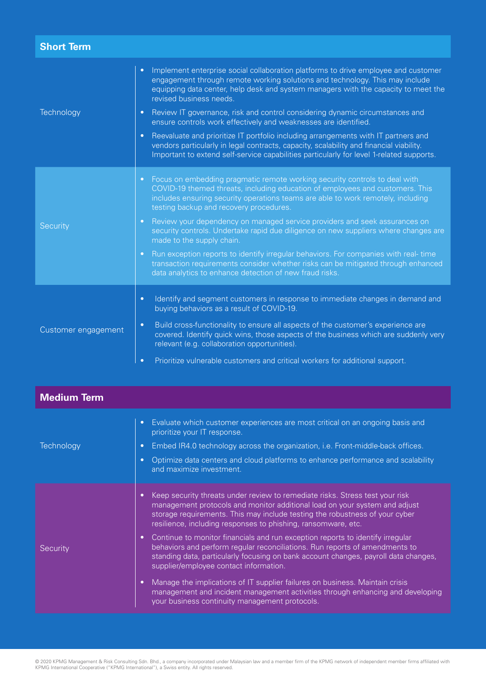| <b>Short Term</b>   |                                                                                                                                                                                                                                                                                                                                                                                                                                                                                                                                                                                                                                                                                                                                                                            |
|---------------------|----------------------------------------------------------------------------------------------------------------------------------------------------------------------------------------------------------------------------------------------------------------------------------------------------------------------------------------------------------------------------------------------------------------------------------------------------------------------------------------------------------------------------------------------------------------------------------------------------------------------------------------------------------------------------------------------------------------------------------------------------------------------------|
| Technology          | Implement enterprise social collaboration platforms to drive employee and customer<br>$\bullet$<br>engagement through remote working solutions and technology. This may include<br>equipping data center, help desk and system managers with the capacity to meet the<br>revised business needs.<br>Review IT governance, risk and control considering dynamic circumstances and<br>$\bullet$<br>ensure controls work effectively and weaknesses are identified.<br>Reevaluate and prioritize IT portfolio including arrangements with IT partners and<br>$\bullet$<br>vendors particularly in legal contracts, capacity, scalability and financial viability.<br>Important to extend self-service capabilities particularly for level 1-related supports.                 |
| Security            | Focus on embedding pragmatic remote working security controls to deal with<br>$\bullet$<br>COVID-19 themed threats, including education of employees and customers. This<br>includes ensuring security operations teams are able to work remotely, including<br>testing backup and recovery procedures.<br>Review your dependency on managed service providers and seek assurances on<br>$\bullet$<br>security controls. Undertake rapid due diligence on new suppliers where changes are<br>made to the supply chain.<br>Run exception reports to identify irregular behaviors. For companies with real-time<br>$\bullet$<br>transaction requirements consider whether risks can be mitigated through enhanced<br>data analytics to enhance detection of new fraud risks. |
| Customer engagement | Identify and segment customers in response to immediate changes in demand and<br>$\bullet$<br>buying behaviors as a result of COVID-19.<br>Build cross-functionality to ensure all aspects of the customer's experience are<br>$\bullet$<br>covered. Identify quick wins, those aspects of the business which are suddenly very<br>relevant (e.g. collaboration opportunities).<br>Prioritize vulnerable customers and critical workers for additional support.<br>$\bullet$                                                                                                                                                                                                                                                                                               |

| Medium Term |                                                                                                                                                                                                                                                                                                                                                         |
|-------------|---------------------------------------------------------------------------------------------------------------------------------------------------------------------------------------------------------------------------------------------------------------------------------------------------------------------------------------------------------|
| Technology  | Evaluate which customer experiences are most critical on an ongoing basis and<br>$\bullet$<br>prioritize your IT response.<br>Embed IR4.0 technology across the organization, i.e. Front-middle-back offices.<br>$\bullet$<br>Optimize data centers and cloud platforms to enhance performance and scalability<br>$\bullet$<br>and maximize investment. |
| Security    | Keep security threats under review to remediate risks. Stress test your risk<br>$\bullet$<br>management protocols and monitor additional load on your system and adjust<br>storage requirements. This may include testing the robustness of your cyber<br>resilience, including responses to phishing, ransomware, etc.                                 |
|             | Continue to monitor financials and run exception reports to identify irregular<br>$\bullet$<br>behaviors and perform regular reconciliations. Run reports of amendments to<br>standing data, particularly focusing on bank account changes, payroll data changes,<br>supplier/employee contact information.                                             |
|             | Manage the implications of IT supplier failures on business. Maintain crisis<br>$\bullet$<br>management and incident management activities through enhancing and developing<br>your business continuity management protocols.                                                                                                                           |